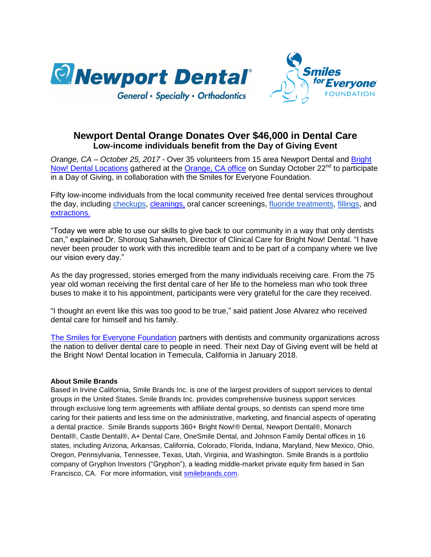



## **Newport Dental Orange Donates Over \$46,000 in Dental Care Low-income individuals benefit from the Day of Giving Event**

*Orange, CA – October 25, 2017* - Over 35 volunteers from 15 area Newport Dental and [Bright](https://www.brightnow.com/dentist-near-me/find-office/region/california-southern/61)  [Now! Dental Locations](https://www.brightnow.com/dentist-near-me/find-office/region/california-southern/61) gathered at the [Orange, CA](https://www.brightnow.com/dentist-near-me/orange-dentist/12090) office on Sunday October 22<sup>nd</sup> to participate in a Day of Giving, in collaboration with the Smiles for Everyone Foundation.

Fifty low-income individuals from the local community received free dental services throughout the day, including [checkups,](https://www.brightnow.com/dentist/dental-checkup) [cleanings,](https://www.brightnow.com/dentist/teeth-cleaning) oral cancer screenings, [fluoride treatments,](https://www.brightnow.com/dentist/teeth-cleaning) [fillings,](https://www.brightnow.com/dentist/dental-fillings) and [extractions.](https://www.brightnow.com/oral-surgeon/oral-surgery)

"Today we were able to use our skills to give back to our community in a way that only dentists can," explained Dr. Shorouq Sahawneh, Director of Clinical Care for Bright Now! Dental. "I have never been prouder to work with this incredible team and to be part of a company where we live our vision every day."

As the day progressed, stories emerged from the many individuals receiving care. From the 75 year old woman receiving the first dental care of her life to the homeless man who took three buses to make it to his appointment, participants were very grateful for the care they received.

"I thought an event like this was too good to be true," said patient Jose Alvarez who received dental care for himself and his family.

[The Smiles for Everyone Foundation](https://www.smilesforeveryone.org/) partners with dentists and community organizations across the nation to deliver dental care to people in need. Their next Day of Giving event will be held at the Bright Now! Dental location in Temecula, California in January 2018.

## **About Smile Brands**

Based in Irvine California, Smile Brands Inc. is one of the largest providers of support services to dental groups in the United States. Smile Brands Inc. provides comprehensive business support services through exclusive long term agreements with affiliate dental groups, so dentists can spend more time caring for their patients and less time on the administrative, marketing, and financial aspects of operating a dental practice. Smile Brands supports 360+ Bright Now!® Dental, Newport Dental®, Monarch Dental®, Castle Dental®, A+ Dental Care, OneSmile Dental, and Johnson Family Dental offices in 16 states, including Arizona, Arkansas, California, Colorado, Florida, Indiana, Maryland, New Mexico, Ohio, Oregon, Pennsylvania, Tennessee, Texas, Utah, Virginia, and Washington. Smile Brands is a portfolio company of Gryphon Investors ("Gryphon"), a leading middle-market private equity firm based in San Francisco, CA. For more information, visit [smilebrands.com.](http://www.smilebrands.com/)